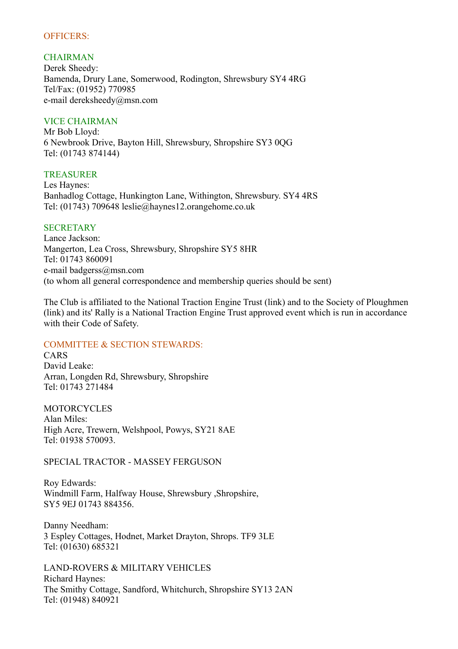## OFFICERS:

## **CHAIRMAN**

Derek Sheedy: Bamenda, Drury Lane, Somerwood, Rodington, Shrewsbury SY4 4RG Tel/Fax: (01952) 770985 e-mail dereksheedy@msn.com

## VICE CHAIRMAN

Mr Bob Lloyd: 6 Newbrook Drive, Bayton Hill, Shrewsbury, Shropshire SY3 0QG Tel: (01743 874144)

#### TREASURER

Les Haynes: Banhadlog Cottage, Hunkington Lane, Withington, Shrewsbury. SY4 4RS Tel: (01743) 709648 leslie@haynes12.orangehome.co.uk

## **SECRETARY**

Lance Jackson: Mangerton, Lea Cross, Shrewsbury, Shropshire SY5 8HR Tel: 01743 860091 e-mail badgerss@msn.com (to whom all general correspondence and membership queries should be sent)

The Club is affiliated to the National Traction Engine Trust (link) and to the Society of Ploughmen (link) and its' Rally is a National Traction Engine Trust approved event which is run in accordance with their Code of Safety.

# COMMITTEE & SECTION STEWARDS:

CARS David Leake: Arran, Longden Rd, Shrewsbury, Shropshire Tel: 01743 271484

MOTORCYCLES Alan Miles: High Acre, Trewern, Welshpool, Powys, SY21 8AE Tel: 01938 570093.

SPECIAL TRACTOR - MASSEY FERGUSON

Roy Edwards: Windmill Farm, Halfway House, Shrewsbury ,Shropshire, SY5 9EJ 01743 884356.

Danny Needham: 3 Espley Cottages, Hodnet, Market Drayton, Shrops. TF9 3LE Tel: (01630) 685321

LAND-ROVERS & MILITARY VEHICLES Richard Haynes: The Smithy Cottage, Sandford, Whitchurch, Shropshire SY13 2AN Tel: (01948) 840921